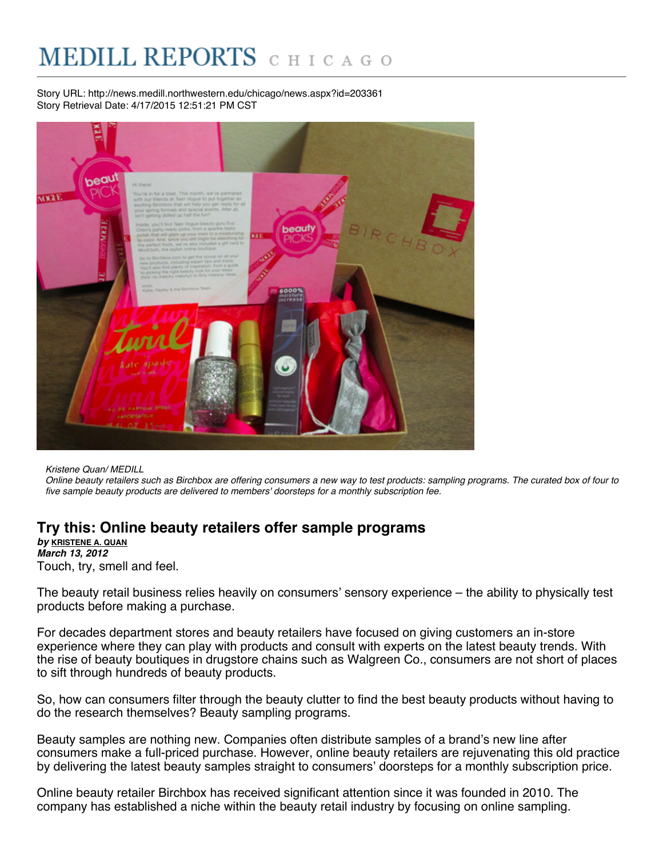## EDILL REPORTS CHICAGO

Story URL: http://news.medill.northwestern.edu/chicago/news.aspx?id=203361 Story Retrieval Date: 4/17/2015 12:51:21 PM CST



*Kristene Quan/ MEDILL*

Online beauty retailers such as Birchbox are offering consumers a new way to test products: sampling programs. The curated box of four to *five sample beauty products are delivered to members' doorsteps for a monthly subscription fee.*

## **Try this: Online beauty retailers offer sample programs**

*by* **[KRISTENE](http://newsarchive.medill.northwestern.edu/authorprofile-193126.html) A. QUAN** *March 13, 2012* Touch, try, smell and feel.

The beauty retail business relies heavily on consumers' sensory experience – the ability to physically test products before making a purchase.

For decades department stores and beauty retailers have focused on giving customers an in-store experience where they can play with products and consult with experts on the latest beauty trends. With the rise of beauty boutiques in drugstore chains such as Walgreen Co., consumers are not short of places to sift through hundreds of beauty products.

So, how can consumers filter through the beauty clutter to find the best beauty products without having to do the research themselves? Beauty sampling programs.

Beauty samples are nothing new. Companies often distribute samples of a brand's new line after consumers make a full-priced purchase. However, online beauty retailers are rejuvenating this old practice by delivering the latest beauty samples straight to consumers' doorsteps for a monthly subscription price.

Online beauty retailer Birchbox has received significant attention since it was founded in 2010. The company has established a niche within the beauty retail industry by focusing on online sampling.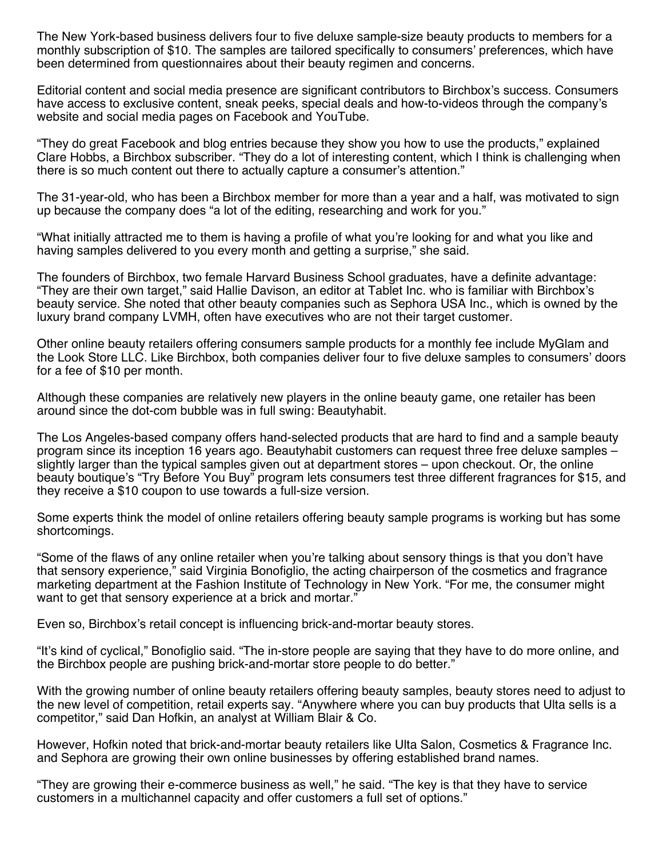The New York-based business delivers four to five deluxe sample-size beauty products to members for a monthly subscription of \$10. The samples are tailored specifically to consumers' preferences, which have been determined from questionnaires about their beauty regimen and concerns.

Editorial content and social media presence are significant contributors to Birchbox's success. Consumers have access to exclusive content, sneak peeks, special deals and how-to-videos through the company's website and social media pages on Facebook and YouTube.

"They do great Facebook and blog entries because they show you how to use the products," explained Clare Hobbs, a Birchbox subscriber. "They do a lot of interesting content, which I think is challenging when there is so much content out there to actually capture a consumer's attention."

The 31-year-old, who has been a Birchbox member for more than a year and a half, was motivated to sign up because the company does "a lot of the editing, researching and work for you."

"What initially attracted me to them is having a profile of what you're looking for and what you like and having samples delivered to you every month and getting a surprise," she said.

The founders of Birchbox, two female Harvard Business School graduates, have a definite advantage: "They are their own target," said Hallie Davison, an editor at Tablet Inc. who is familiar with Birchbox's beauty service. She noted that other beauty companies such as Sephora USA Inc., which is owned by the luxury brand company LVMH, often have executives who are not their target customer.

Other online beauty retailers offering consumers sample products for a monthly fee include MyGlam and the Look Store LLC. Like Birchbox, both companies deliver four to five deluxe samples to consumers' doors for a fee of \$10 per month.

Although these companies are relatively new players in the online beauty game, one retailer has been around since the dot-com bubble was in full swing: Beautyhabit.

The Los Angeles-based company offers hand-selected products that are hard to find and a sample beauty program since its inception 16 years ago. Beautyhabit customers can request three free deluxe samples – slightly larger than the typical samples given out at department stores – upon checkout. Or, the online beauty boutique's "Try Before You Buy" program lets consumers test three different fragrances for \$15, and they receive a \$10 coupon to use towards a full-size version.

Some experts think the model of online retailers offering beauty sample programs is working but has some shortcomings.

"Some of the flaws of any online retailer when you're talking about sensory things is that you don't have that sensory experience," said Virginia Bonofiglio, the acting chairperson of the cosmetics and fragrance marketing department at the Fashion Institute of Technology in New York. "For me, the consumer might want to get that sensory experience at a brick and mortar."

Even so, Birchbox's retail concept is influencing brick-and-mortar beauty stores.

"It's kind of cyclical," Bonofiglio said. "The in-store people are saying that they have to do more online, and the Birchbox people are pushing brick-and-mortar store people to do better."

With the growing number of online beauty retailers offering beauty samples, beauty stores need to adjust to the new level of competition, retail experts say. "Anywhere where you can buy products that Ulta sells is a competitor," said Dan Hofkin, an analyst at William Blair & Co.

However, Hofkin noted that brick-and-mortar beauty retailers like Ulta Salon, Cosmetics & Fragrance Inc. and Sephora are growing their own online businesses by offering established brand names.

"They are growing their e-commerce business as well," he said. "The key is that they have to service customers in a multichannel capacity and offer customers a full set of options."